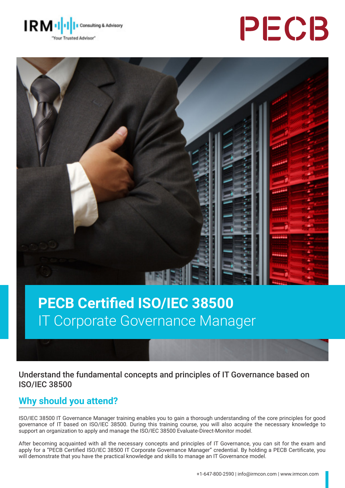





# **PECB Certified ISO/IEC 38500**  IT Corporate Governance Manager

Understand the fundamental concepts and principles of IT Governance based on ISO/IEC 38500

# **Why should you attend?**

ISO/IEC 38500 IT Governance Manager training enables you to gain a thorough understanding of the core principles for good governance of IT based on ISO/IEC 38500. During this training course, you will also acquire the necessary knowledge to support an organization to apply and manage the ISO/IEC 38500 Evaluate-Direct-Monitor model.

After becoming acquainted with all the necessary concepts and principles of IT Governance, you can sit for the exam and apply for a "PECB Certified ISO/IEC 38500 IT Corporate Governance Manager" credential. By holding a PECB Certificate, you will demonstrate that you have the practical knowledge and skills to manage an IT Governance model.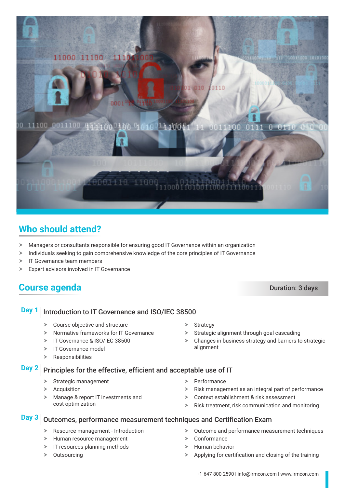

# **Who should attend?**

- $\blacktriangleright$  Managers or consultants responsible for ensuring good IT Governance within an organization
- $\triangleright$  Individuals seeking to gain comprehensive knowledge of the core principles of IT Governance
- $\triangleright$  IT Governance team members
- $\triangleright$  Expert advisors involved in IT Governance

## **Course agenda** Duration: 3 days

#### **Day 1** Introduction to IT Governance and ISO/IEC 38500

- $\triangleright$  Course objective and structure
- $\triangleright$  Normative frameworks for IT Governance
- F IT Governance & ISO/IFC 38500
- $\triangleright$  IT Governance model
- $\triangleright$  Responsibilities

#### **Day 2** Principles for the effective, efficient and acceptable use of IT

- $\triangleright$  Strategic management
- $\blacktriangleright$  Acquisition
- $\blacktriangleright$  Manage & report IT investments and cost optimization

alignment

 $\triangleright$  Strategy

 $\blacktriangleright$  Performance

 $\triangleright$  Conformance

 $\triangleright$  Risk management as an integral part of performance

 $\triangleright$  Changes in business strategy and barriers to strategic

 $\triangleright$  Context establishment & risk assessment

 $\blacktriangleright$  Strategic alignment through goal cascading

 $\triangleright$  Risk treatment, risk communication and monitoring

 $\triangleright$  Outcome and performance measurement techniques

#### **Day 3** Outcomes, performance measurement techniques and Certification Exam

- $\triangleright$  Resource management Introduction
- $\blacktriangleright$  Human resource management
- $\triangleright$  IT resources planning methods
- $\triangleright$  Outsourcing
- $\blacktriangleright$  Human behavior
- $\triangleright$  Applying for certification and closing of the training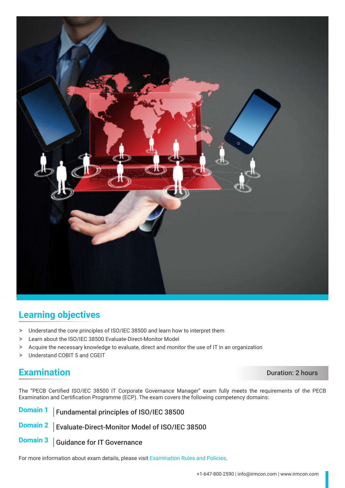

# **Learning objectives**

- $\blacktriangleright$  Understand the core principles of ISO/IEC 38500 and learn how to interpret them
- > Learn about the ISO/IEC 38500 Evaluate-Direct-Monitor Model
- $\triangleright$  Acquire the necessary knowledge to evaluate, direct and monitor the use of IT in an organization
- > Understand COBIT 5 and CGEIT

### **Examination** Duration: 2 hours

The "PECB Certified ISO/IEC 38500 IT Corporate Governance Manager" exam fully meets the requirements of the PECB Examination and Certification Programme (ECP). The exam covers the following competency domains:

**Domain 1** Fundamental principles of ISO/IEC 38500

**Domain 2** | Evaluate-Direct-Monitor Model of ISO/IEC 38500

**Domain 3** Guidance for IT Governance

For more information about exam details, please visit [Examination Rules and Policies](https://pecb.com/en/examination-rules-and-policies).